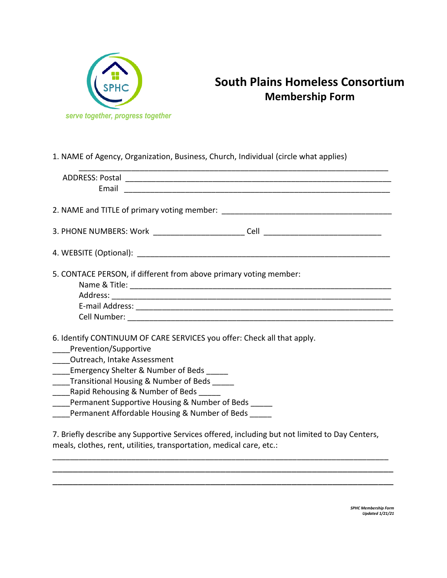

## **South Plains Homeless Consortium Membership Form**

1. NAME of Agency, Organization, Business, Church, Individual (circle what applies)

| Email                                                                                                                                                                  |
|------------------------------------------------------------------------------------------------------------------------------------------------------------------------|
|                                                                                                                                                                        |
|                                                                                                                                                                        |
|                                                                                                                                                                        |
| 5. CONTACE PERSON, if different from above primary voting member:                                                                                                      |
|                                                                                                                                                                        |
|                                                                                                                                                                        |
|                                                                                                                                                                        |
|                                                                                                                                                                        |
| 6. Identify CONTINUUM OF CARE SERVICES you offer: Check all that apply.                                                                                                |
| Prevention/Supportive                                                                                                                                                  |
| _____ Outreach, Intake Assessment                                                                                                                                      |
| Emergency Shelter & Number of Beds                                                                                                                                     |
| Transitional Housing & Number of Beds                                                                                                                                  |
| Rapid Rehousing & Number of Beds                                                                                                                                       |
| Permanent Supportive Housing & Number of Beds                                                                                                                          |
| Permanent Affordable Housing & Number of Beds                                                                                                                          |
|                                                                                                                                                                        |
| 7. Briefly describe any Supportive Services offered, including but not limited to Day Centers,<br>meals, clothes, rent, utilities, transportation, medical care, etc.: |

\_\_\_\_\_\_\_\_\_\_\_\_\_\_\_\_\_\_\_\_\_\_\_\_\_\_\_\_\_\_\_\_\_\_\_\_\_\_\_\_\_\_\_\_\_\_\_\_\_\_\_\_\_\_\_\_\_\_\_\_\_\_\_\_\_\_\_ \_\_\_\_\_\_\_\_\_\_\_\_\_\_\_\_\_\_\_\_\_\_\_\_\_\_\_\_\_\_\_\_\_\_\_\_\_\_\_\_\_\_\_\_\_\_\_\_\_\_\_\_\_\_\_\_\_\_\_\_\_\_\_\_\_\_\_

> *SPHC Membership Form Updated 1/21/21*